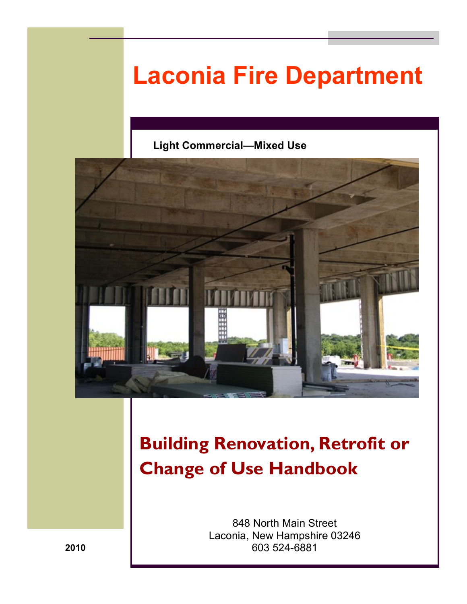# **Laconia Fire Department**

### **Light Commercial—Mixed Use**



## **Building Renovation, Retrofit or Change of Use Handbook**

848 North Main Street Laconia, New Hampshire 03246 603 524-6881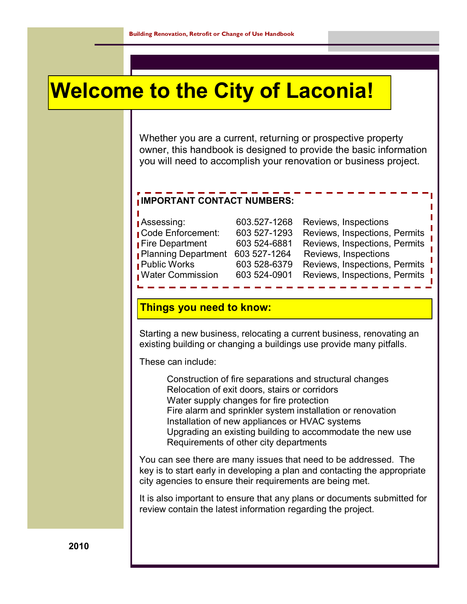## **Welcome to the City of Laconia!**

Whether you are a current, returning or prospective property owner, this handbook is designed to provide the basic information you will need to accomplish your renovation or business project.

### **IMPORTANT CONTACT NUMBERS:**

| Assessing:                 |
|----------------------------|
| <b>Code Enforcement:</b>   |
| <b>Fire Department</b>     |
| <b>Planning Department</b> |
| <b>Public Works</b>        |
| <b>Nater Commission</b>    |

ī

603.527-1268 Reviews, Inspections 603 527-1293 Reviews, Inspections, Permits 603 524-6881 Reviews, Inspections, Permits 603 527-1264 Reviews, Inspections 603 528-6379 Reviews, Inspections, Permits 603 524-0901 Reviews, Inspections, Permits

### **Things you need to know:**

Starting a new business, relocating a current business, renovating an existing building or changing a buildings use provide many pitfalls.

These can include:

Construction of fire separations and structural changes Relocation of exit doors, stairs or corridors Water supply changes for fire protection Fire alarm and sprinkler system installation or renovation Installation of new appliances or HVAC systems Upgrading an existing building to accommodate the new use Requirements of other city departments

You can see there are many issues that need to be addressed. The key is to start early in developing a plan and contacting the appropriate city agencies to ensure their requirements are being met.

It is also important to ensure that any plans or documents submitted for review contain the latest information regarding the project.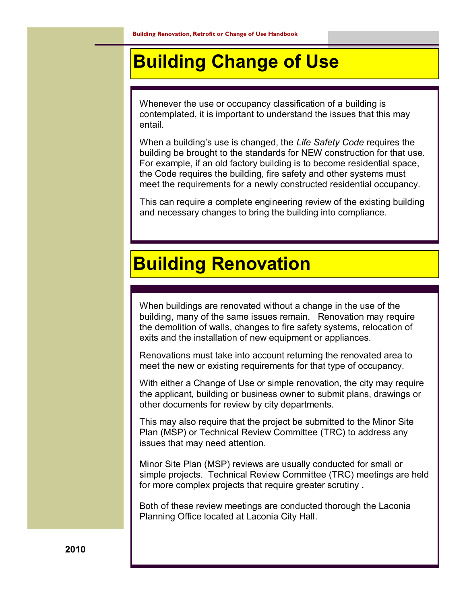### **Building Change of Use**

Whenever the use or occupancy classification of a building is contemplated, it is important to understand the issues that this may entail.

When a building's use is changed, the *Life Safety Code* requires the building be brought to the standards for NEW construction for that use. For example, if an old factory building is to become residential space, the Code requires the building, fire safety and other systems must meet the requirements for a newly constructed residential occupancy.

This can require a complete engineering review of the existing building and necessary changes to bring the building into compliance.

### **Building Renovation**

When buildings are renovated without a change in the use of the building, many of the same issues remain. Renovation may require the demolition of walls, changes to fire safety systems, relocation of exits and the installation of new equipment or appliances.

Renovations must take into account returning the renovated area to meet the new or existing requirements for that type of occupancy.

With either a Change of Use or simple renovation, the city may require the applicant, building or business owner to submit plans, drawings or other documents for review by city departments.

This may also require that the project be submitted to the Minor Site Plan (MSP) or Technical Review Committee (TRC) to address any issues that may need attention.

Minor Site Plan (MSP) reviews are usually conducted for small or simple projects. Technical Review Committee (TRC) meetings are held for more complex projects that require greater scrutiny .

Both of these review meetings are conducted thorough the Laconia Planning Office located at Laconia City Hall.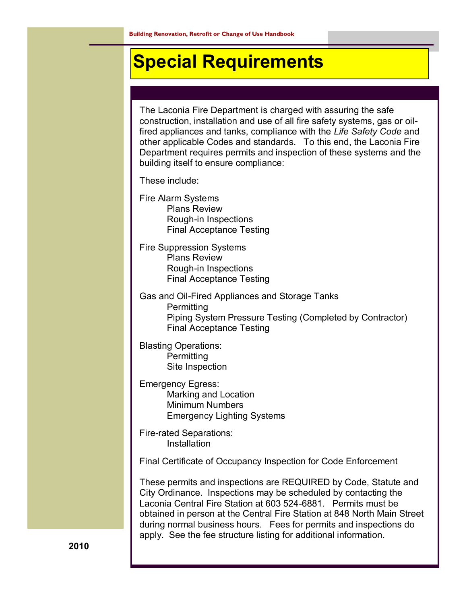### **Special Requirements**

The Laconia Fire Department is charged with assuring the safe construction, installation and use of all fire safety systems, gas or oilfired appliances and tanks, compliance with the *Life Safety Code* and other applicable Codes and standards. To this end, the Laconia Fire Department requires permits and inspection of these systems and the building itself to ensure compliance:

These include:

Fire Alarm Systems Plans Review Rough-in Inspections Final Acceptance Testing

Fire Suppression Systems Plans Review Rough-in Inspections Final Acceptance Testing

Gas and Oil-Fired Appliances and Storage Tanks **Permitting** Piping System Pressure Testing (Completed by Contractor) Final Acceptance Testing

Blasting Operations: **Permitting** Site Inspection

Emergency Egress: Marking and Location Minimum Numbers Emergency Lighting Systems

Fire-rated Separations: Installation

Final Certificate of Occupancy Inspection for Code Enforcement

These permits and inspections are REQUIRED by Code, Statute and City Ordinance. Inspections may be scheduled by contacting the Laconia Central Fire Station at 603 524-6881. Permits must be obtained in person at the Central Fire Station at 848 North Main Street during normal business hours. Fees for permits and inspections do apply. See the fee structure listing for additional information.